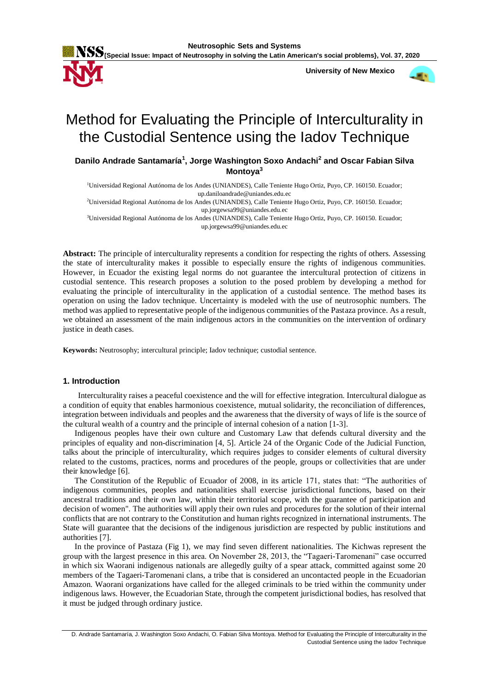

 **University of New Mexico**



# Method for Evaluating the Principle of Interculturality in the Custodial Sentence using the Iadov Technique

# **Danilo Andrade Santamaría<sup>1</sup> , Jorge Washington Soxo Andachi<sup>2</sup> and Oscar Fabian Silva Montoya<sup>3</sup>**

<sup>1</sup>Universidad Regional Autónoma de los Andes (UNIANDES), Calle Teniente Hugo Ortiz, Puyo, CP. 160150. Ecuador; up.daniloandrade@uniandes.edu.ec <sup>2</sup>Universidad Regional Autónoma de los Andes (UNIANDES), Calle Teniente Hugo Ortiz, Puyo, CP. 160150. Ecuador; up.jorgewsa99@uniandes.edu.ec <sup>3</sup>Universidad Regional Autónoma de los Andes (UNIANDES), Calle Teniente Hugo Ortiz, Puyo, CP. 160150. Ecuador; up.jorgewsa99@uniandes.edu.ec

**Abstract:** The principle of interculturality represents a condition for respecting the rights of others. Assessing the state of interculturality makes it possible to especially ensure the rights of indigenous communities. However, in Ecuador the existing legal norms do not guarantee the intercultural protection of citizens in custodial sentence. This research proposes a solution to the posed problem by developing a method for evaluating the principle of interculturality in the application of a custodial sentence. The method bases its operation on using the Iadov technique. Uncertainty is modeled with the use of neutrosophic numbers. The method was applied to representative people of the indigenous communities of the Pastaza province. As a result, we obtained an assessment of the main indigenous actors in the communities on the intervention of ordinary justice in death cases.

**Keywords:** Neutrosophy; intercultural principle; Iadov technique; custodial sentence.

# **1. Introduction**

Interculturality raises a peaceful coexistence and the will for effective integration. Intercultural dialogue as a condition of equity that enables harmonious coexistence, mutual solidarity, the reconciliation of differences, integration between individuals and peoples and the awareness that the diversity of ways of life is the source of the cultural wealth of a country and the principle of internal cohesion of a nation [\[1-3\]](#page-4-0).

Indigenous peoples have their own culture and Customary Law that defends cultural diversity and the principles of equality and non-discrimination [\[4,](#page-4-1) [5\]](#page-4-2). Article 24 of the Organic Code of the Judicial Function, talks about the principle of interculturality, which requires judges to consider elements of cultural diversity related to the customs, practices, norms and procedures of the people, groups or collectivities that are under their knowledge [\[6\]](#page-5-0).

The Constitution of the Republic of Ecuador of 2008, in its article 171, states that: "The authorities of indigenous communities, peoples and nationalities shall exercise jurisdictional functions, based on their ancestral traditions and their own law, within their territorial scope, with the guarantee of participation and decision of women". The authorities will apply their own rules and procedures for the solution of their internal conflicts that are not contrary to the Constitution and human rights recognized in international instruments. The State will guarantee that the decisions of the indigenous jurisdiction are respected by public institutions and authorities [\[7\]](#page-5-1).

In the province of Pastaza (Fig 1), we may find seven different nationalities. The Kichwas represent the group with the largest presence in this area. On November 28, 2013, the "Tagaeri-Taromenani" case occurred in which six Waorani indigenous nationals are allegedly guilty of a spear attack, committed against some 20 members of the Tagaeri-Taromenani clans, a tribe that is considered an uncontacted people in the Ecuadorian Amazon. Waorani organizations have called for the alleged criminals to be tried within the community under indigenous laws. However, the Ecuadorian State, through the competent jurisdictional bodies, has resolved that it must be judged through ordinary justice.

D. Andrade Santamaría, J. Washington Soxo Andachi, O. Fabian Silva Montoya. Method for Evaluating the Principle of Interculturality in the Custodial Sentence using the Iadov Technique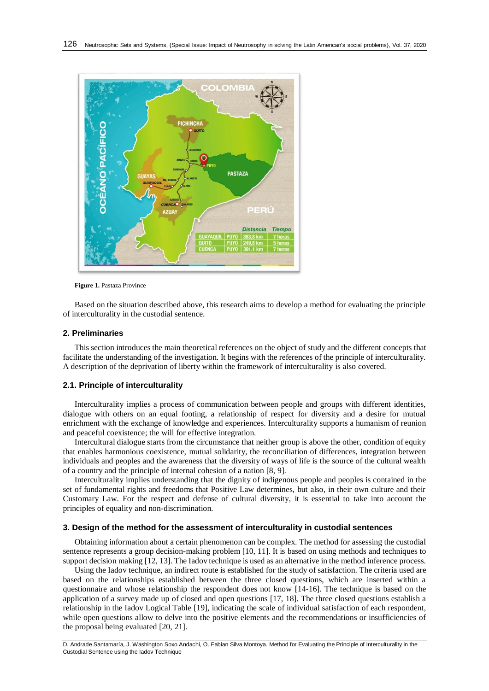

**Figure 1.** Pastaza Province

Based on the situation described above, this research aims to develop a method for evaluating the principle of interculturality in the custodial sentence.

#### **2. Preliminaries**

This section introduces the main theoretical references on the object of study and the different concepts that facilitate the understanding of the investigation. It begins with the references of the principle of interculturality. A description of the deprivation of liberty within the framework of interculturality is also covered.

#### **2.1. Principle of interculturality**

Interculturality implies a process of communication between people and groups with different identities, dialogue with others on an equal footing, a relationship of respect for diversity and a desire for mutual enrichment with the exchange of knowledge and experiences. Interculturality supports a humanism of reunion and peaceful coexistence; the will for effective integration.

Intercultural dialogue starts from the circumstance that neither group is above the other, condition of equity that enables harmonious coexistence, mutual solidarity, the reconciliation of differences, integration between individuals and peoples and the awareness that the diversity of ways of life is the source of the cultural wealth of a country and the principle of internal cohesion of a nation [\[8,](#page-5-2) [9\]](#page-5-3).

Interculturality implies understanding that the dignity of indigenous people and peoples is contained in the set of fundamental rights and freedoms that Positive Law determines, but also, in their own culture and their Customary Law. For the respect and defense of cultural diversity, it is essential to take into account the principles of equality and non-discrimination.

## **3. Design of the method for the assessment of interculturality in custodial sentences**

Obtaining information about a certain phenomenon can be complex. The method for assessing the custodial sentence represents a group decision-making problem [\[10,](#page-5-4) [11\]](#page-5-5). It is based on using methods and techniques to support decision making [\[12,](#page-5-6) [13\]](#page-5-7). The Iadov technique is used as an alternative in the method inference process.

Using the Iadov technique, an indirect route is established for the study of satisfaction. The criteria used are based on the relationships established between the three closed questions, which are inserted within a questionnaire and whose relationship the respondent does not know [\[14-16\]](#page-5-8). The technique is based on the application of a survey made up of closed and open questions [\[17,](#page-5-9) [18\]](#page-5-10). The three closed questions establish a relationship in the Iadov Logical Table [\[19\]](#page-5-11), indicating the scale of individual satisfaction of each respondent, while open questions allow to delve into the positive elements and the recommendations or insufficiencies of the proposal being evaluated [\[20,](#page-5-12) [21\]](#page-5-13).

D. Andrade Santamaría, J. Washington Soxo Andachi, O. Fabian Silva Montoya. Method for Evaluating the Principle of Interculturality in the Custodial Sentence using the Iadov Technique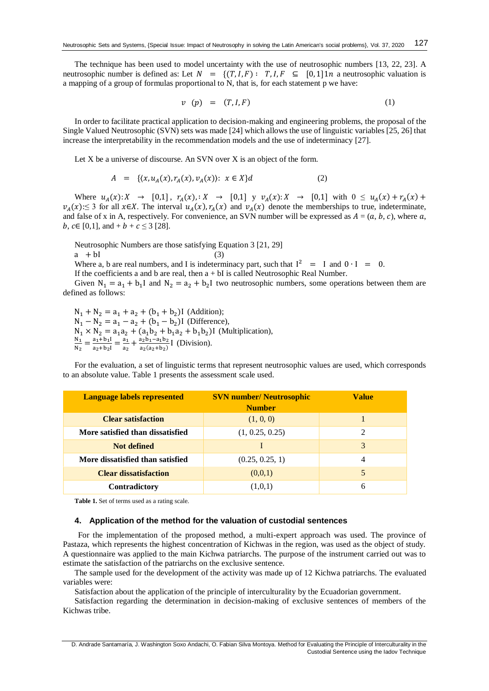The technique has been used to model uncertainty with the use of neutrosophic numbers [\[13,](#page-5-7) [22,](#page-5-14) [23\]](#page-5-15). A neutrosophic number is defined as: Let  $N = \{(T, I, F): T, I, F \subseteq [0, 1] \in \mathbb{N} \}$  a neutrosophic valuation is a mapping of a group of formulas proportional to N, that is, for each statement p we have:

$$
v \quad (p) \quad = \quad (T, I, F) \tag{1}
$$

In order to facilitate practical application to decision-making and engineering problems, the proposal of the Single Valued Neutrosophic (SVN) sets was made [\[24\]](#page-5-16) which allows the use of linguistic variables [\[25,](#page-5-17) [26\]](#page-5-18) that increase the interpretability in the recommendation models and the use of indeterminacy [\[27\]](#page-6-0).

Let X be a universe of discourse. An SVN over X is an object of the form.

$$
A = \{ (x, u_A(x), r_A(x), v_A(x)) : x \in X \} d \tag{2}
$$

Where  $u_A(x): X \to [0,1], r_A(x): X \to [0,1]$  y  $v_A(x): X \to [0,1]$  with  $0 \le u_A(x) + r_A(x) +$  $v_A(x)$ :≤ 3 for all x∈X. The interval  $u_A(x)$ ,  $r_A(x)$  and  $v_A(x)$  denote the memberships to true, indeterminate, and false of x in A, respectively. For convenience, an SVN number will be expressed as  $A = (a, b, c)$ , where a, *b*,  $c \in [0,1]$ , and +  $b + c \leq 3$  [\[28\]](#page-6-1).

Neutrosophic Numbers are those satisfying Equation 3 [\[21,](#page-5-13) [29\]](#page-6-2)  $a + bI$  (3)

Where a, b are real numbers, and I is indeterminacy part, such that  $I^2 = I$  and  $0 \cdot I = 0$ . If the coefficients a and b are real, then  $a + bI$  is called Neutrosophic Real Number.

Given  $N_1 = a_1 + b_1 I$  and  $N_2 = a_2 + b_2 I$  two neutrosophic numbers, some operations between them are defined as follows:

 $N_1 + N_2 = a_1 + a_2 + (b_1 + b_2)$ I (Addition);  $N_1 - N_2 = a_1 - a_2 + (b_1 - b_2)I$  (Difference),  $N_1 \times N_2 = a_1 a_2 + (a_1 b_2 + b_1 a_2 + b_1 b_2)$  (Multiplication),<br> $N_1 = a_1 + b_1 I = a_1 + a_2 b_1 - a_1 b_2$  (Division)  $\frac{N_1}{N_2} = \frac{a_1 + b_1 I}{a_2 + b_2 I}$  $\frac{a_1+b_1I}{a_2+b_2I} = \frac{a_1}{a_2}$  $\frac{a_1}{a_2} + \frac{a_2b_1 - a_1b_2}{a_2(a_2+b_2)}$  $\frac{a_2b_1-a_1b_2}{a_2(a_2+b_2)}$  [ (Division).

For the evaluation, a set of linguistic terms that represent neutrosophic values are used, which corresponds to an absolute value. Table 1 presents the assessment scale used.

| <b>Language labels represented</b> | <b>SVN number/ Neutrosophic</b><br><b>Number</b> | <b>Value</b> |
|------------------------------------|--------------------------------------------------|--------------|
| <b>Clear satisfaction</b>          | (1, 0, 0)                                        |              |
| More satisfied than dissatisfied   | (1, 0.25, 0.25)                                  |              |
| Not defined                        |                                                  |              |
| More dissatisfied than satisfied   | (0.25, 0.25, 1)                                  | 4            |
| <b>Clear dissatisfaction</b>       | (0,0,1)                                          |              |
| <b>Contradictory</b>               | (1,0,1)                                          | 6            |

**Table 1.** Set of terms used as a rating scale.

# **4. Application of the method for the valuation of custodial sentences**

For the implementation of the proposed method, a multi-expert approach was used. The province of Pastaza, which represents the highest concentration of Kichwas in the region, was used as the object of study. A questionnaire was applied to the main Kichwa patriarchs. The purpose of the instrument carried out was to estimate the satisfaction of the patriarchs on the exclusive sentence.

The sample used for the development of the activity was made up of 12 Kichwa patriarchs. The evaluated variables were:

Satisfaction about the application of the principle of interculturality by the Ecuadorian government.

Satisfaction regarding the determination in decision-making of exclusive sentences of members of the Kichwas tribe.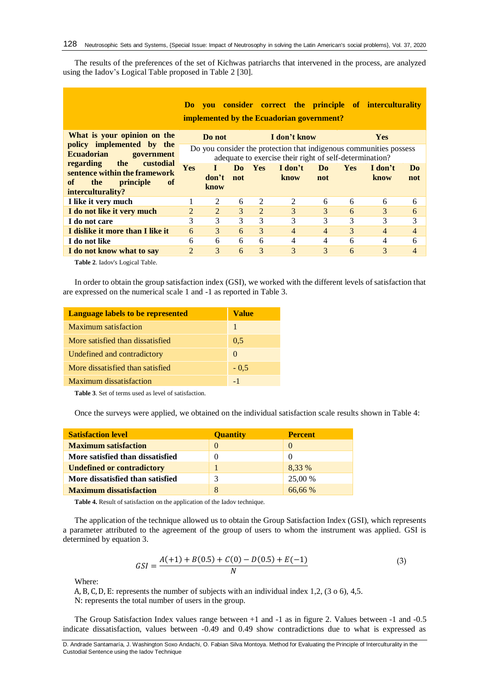The results of the preferences of the set of Kichwas patriarchs that intervened in the process, are analyzed using the Iadov's Logical Table proposed in Table 2 [\[30\]](#page-6-3).

|                                                                                                                            | Do.                                                                                                                           |                |           |            | <b>vou consider correct the principle of interculturality</b><br><b>implemented by the Ecuadorian government?</b> |                |            |                 |                |
|----------------------------------------------------------------------------------------------------------------------------|-------------------------------------------------------------------------------------------------------------------------------|----------------|-----------|------------|-------------------------------------------------------------------------------------------------------------------|----------------|------------|-----------------|----------------|
| What is your opinion on the                                                                                                |                                                                                                                               | Do not         |           |            | I don't know                                                                                                      |                |            | <b>Yes</b>      |                |
| policy implemented by the<br><b>Ecuadorian</b><br>government                                                               | Do you consider the protection that indigenous communities possess<br>adequate to exercise their right of self-determination? |                |           |            |                                                                                                                   |                |            |                 |                |
| regarding<br>the<br>custodial<br>sentence within the framework<br>of<br>the<br>of<br><i>principle</i><br>interculturality? | <b>Yes</b>                                                                                                                    | don't<br>know  | Do<br>not | <b>Yes</b> | I don't<br>know                                                                                                   | Do<br>not      | <b>Yes</b> | I don't<br>know | Do<br>not      |
| I like it very much                                                                                                        |                                                                                                                               | 2              | 6         | 2          | 2                                                                                                                 | 6              | 6          | 6               | 6              |
| I do not like it very much                                                                                                 | $\overline{2}$                                                                                                                | $\mathfrak{D}$ | 3         | 2          | 3                                                                                                                 | 3              | 6          | 3               | 6              |
| I do not care                                                                                                              | 3                                                                                                                             | 3              | 3         | 3          | 3                                                                                                                 | 3              | 3          | 3               | 3              |
| I dislike it more than I like it                                                                                           | 6                                                                                                                             | 3              | 6         | 3          | $\overline{4}$                                                                                                    | $\overline{4}$ | 3          | $\overline{4}$  | $\overline{4}$ |
| I do not like                                                                                                              | 6                                                                                                                             | 6              | 6         | 6          | 4                                                                                                                 | 4              | 6          | 4               | 6              |
| I do not know what to say                                                                                                  | $\overline{2}$                                                                                                                | 3              | 6         | 3          | 3                                                                                                                 | 3              | 6          | 3               | 4              |

**Table 2**. Iadov's Logical Table.

In order to obtain the group satisfaction index (GSI), we worked with the different levels of satisfaction that are expressed on the numerical scale 1 and -1 as reported in Table 3.

| <b>Language labels to be represented</b> | Value    |
|------------------------------------------|----------|
| Maximum satisfaction                     | 1        |
| More satisfied than dissatisfied         | 0.5      |
| Undefined and contradictory              | $\Omega$ |
| More dissatisfied than satisfied         | $-0.5$   |
| Maximum dissatisfaction                  | $-1$     |

**Table 3**. Set of terms used as level of satisfaction.

Once the surveys were applied, we obtained on the individual satisfaction scale results shown in Table 4:

| <b>Satisfaction level</b>         | <b>Quantity</b> | <b>Percent</b> |
|-----------------------------------|-----------------|----------------|
| <b>Maximum satisfaction</b>       | $\Omega$        | $\theta$       |
| More satisfied than dissatisfied  |                 | $\theta$       |
| <b>Undefined or contradictory</b> |                 | 8.33 %         |
| More dissatisfied than satisfied  |                 | 25,00 %        |
| <b>Maximum dissatisfaction</b>    | 8               | 66.66 %        |

**Table 4.** Result of satisfaction on the application of the Iadov technique.

The application of the technique allowed us to obtain the Group Satisfaction Index (GSI), which represents a parameter attributed to the agreement of the group of users to whom the instrument was applied. GSI is determined by equation 3.

$$
GSI = \frac{A(+1) + B(0.5) + C(0) - D(0.5) + E(-1)}{N}
$$
\n(3)

Where:

A, B, C, D, E: represents the number of subjects with an individual index 1,2, (3 o 6), 4,5. N: represents the total number of users in the group.

The Group Satisfaction Index values range between +1 and -1 as in figure 2. Values between -1 and -0.5 indicate dissatisfaction, values between -0.49 and 0.49 show contradictions due to what is expressed as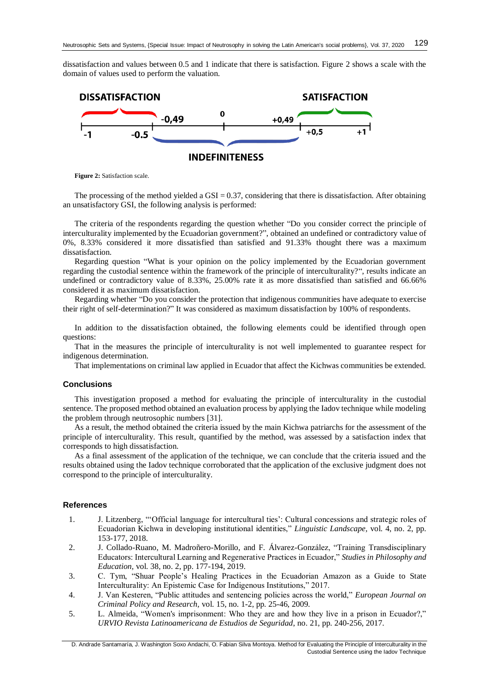dissatisfaction and values between 0.5 and 1 indicate that there is satisfaction. Figure 2 shows a scale with the domain of values used to perform the valuation.



**Figure 2:** Satisfaction scale.

The processing of the method yielded a  $GSI = 0.37$ , considering that there is dissatisfaction. After obtaining an unsatisfactory GSI, the following analysis is performed:

The criteria of the respondents regarding the question whether "Do you consider correct the principle of interculturality implemented by the Ecuadorian government?", obtained an undefined or contradictory value of 0%, 8.33% considered it more dissatisfied than satisfied and 91.33% thought there was a maximum dissatisfaction.

Regarding question "What is your opinion on the policy implemented by the Ecuadorian government regarding the custodial sentence within the framework of the principle of interculturality?", results indicate an undefined or contradictory value of 8.33%, 25.00% rate it as more dissatisfied than satisfied and 66.66% considered it as maximum dissatisfaction.

Regarding whether "Do you consider the protection that indigenous communities have adequate to exercise their right of self-determination?" It was considered as maximum dissatisfaction by 100% of respondents.

In addition to the dissatisfaction obtained, the following elements could be identified through open questions:

That in the measures the principle of interculturality is not well implemented to guarantee respect for indigenous determination.

That implementations on criminal law applied in Ecuador that affect the Kichwas communities be extended.

## **Conclusions**

This investigation proposed a method for evaluating the principle of interculturality in the custodial sentence. The proposed method obtained an evaluation process by applying the Iadov technique while modeling the problem through neutrosophic numbers [\[31\]](#page-6-4).

As a result, the method obtained the criteria issued by the main Kichwa patriarchs for the assessment of the principle of interculturality. This result, quantified by the method, was assessed by a satisfaction index that corresponds to high dissatisfaction.

As a final assessment of the application of the technique, we can conclude that the criteria issued and the results obtained using the Iadov technique corroborated that the application of the exclusive judgment does not correspond to the principle of interculturality.

#### **References**

- <span id="page-4-0"></span>1. J. Litzenberg, "'Official language for intercultural ties': Cultural concessions and strategic roles of Ecuadorian Kichwa in developing institutional identities," *Linguistic Landscape,* vol. 4, no. 2, pp. 153-177, 2018.
- 2. J. Collado-Ruano, M. Madroñero-Morillo, and F. Álvarez-González, "Training Transdisciplinary Educators: Intercultural Learning and Regenerative Practices in Ecuador," *Studies in Philosophy and Education,* vol. 38, no. 2, pp. 177-194, 2019.
- 3. C. Tym, "Shuar People's Healing Practices in the Ecuadorian Amazon as a Guide to State Interculturality: An Epistemic Case for Indigenous Institutions," 2017.
- <span id="page-4-1"></span>4. J. Van Kesteren, "Public attitudes and sentencing policies across the world," *European Journal on Criminal Policy and Research,* vol. 15, no. 1-2, pp. 25-46, 2009.
- <span id="page-4-2"></span>5. L. Almeida, "Women's imprisonment: Who they are and how they live in a prison in Ecuador?," *URVIO Revista Latinoamericana de Estudios de Seguridad*, no. 21, pp. 240-256, 2017.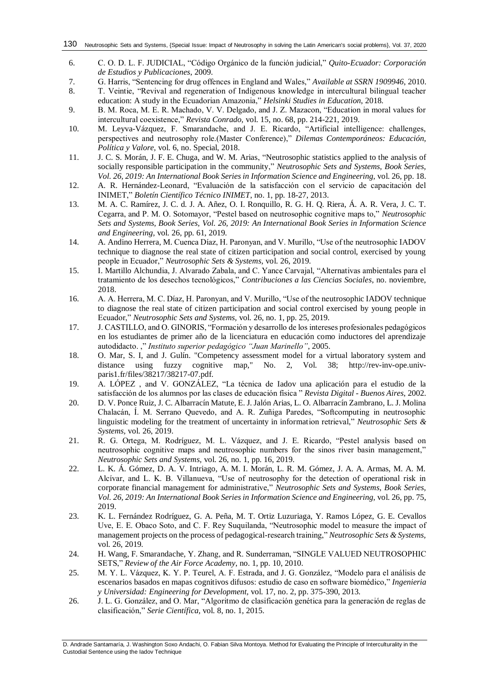- <span id="page-5-0"></span>6. C. O. D. L. F. JUDICIAL, "Código Orgánico de la función judicial," *Quito-Ecuador: Corporación de Estudios y Publicaciones*, 2009.
- <span id="page-5-1"></span>7. G. Harris, "Sentencing for drug offences in England and Wales," *Available at SSRN 1909946*, 2010.
- <span id="page-5-2"></span>8. T. Veintie, "Revival and regeneration of Indigenous knowledge in intercultural bilingual teacher education: A study in the Ecuadorian Amazonia," *Helsinki Studies in Education*, 2018.
- <span id="page-5-3"></span>9. B. M. Roca, M. E. R. Machado, V. V. Delgado, and J. Z. Mazacon, "Education in moral values for intercultural coexistence," *Revista Conrado,* vol. 15, no. 68, pp. 214-221, 2019.
- <span id="page-5-4"></span>10. M. Leyva-Vázquez, F. Smarandache, and J. E. Ricardo, "Artificial intelligence: challenges, perspectives and neutrosophy role.(Master Conference)," *Dilemas Contemporáneos: Educación, Política y Valore,* vol. 6, no. Special, 2018.
- <span id="page-5-5"></span>11. J. C. S. Morán, J. F. E. Chuga, and W. M. Arias, "Neutrosophic statistics applied to the analysis of socially responsible participation in the community," *Neutrosophic Sets and Systems, Book Series, Vol. 26, 2019: An International Book Series in Information Science and Engineering,* vol. 26, pp. 18.
- <span id="page-5-6"></span>12. A. R. Hernández-Leonard, "Evaluación de la satisfacción con el servicio de capacitación del INIMET," *Boletín Científico Técnico INIMET*, no. 1, pp. 18-27, 2013.
- <span id="page-5-7"></span>13. M. A. C. Ramírez, J. C. d. J. A. Añez, O. I. Ronquillo, R. G. H. Q. Riera, Á. A. R. Vera, J. C. T. Cegarra, and P. M. O. Sotomayor, "Pestel based on neutrosophic cognitive maps to," *Neutrosophic Sets and Systems, Book Series, Vol. 26, 2019: An International Book Series in Information Science and Engineering,* vol. 26, pp. 61, 2019.
- <span id="page-5-8"></span>14. A. Andino Herrera, M. Cuenca Díaz, H. Paronyan, and V. Murillo, "Use of the neutrosophic IADOV technique to diagnose the real state of citizen participation and social control, exercised by young people in Ecuador," *Neutrosophic Sets & Systems,* vol. 26, 2019.
- 15. I. Martillo Alchundia, J. Alvarado Zabala, and C. Yance Carvajal, "Alternativas ambientales para el tratamiento de los desechos tecnológicos," *Contribuciones a las Ciencias Sociales*, no. noviembre, 2018.
- 16. A. A. Herrera, M. C. Díaz, H. Paronyan, and V. Murillo, "Use of the neutrosophic IADOV technique to diagnose the real state of citizen participation and social control exercised by young people in Ecuador," *Neutrosophic Sets and Systems,* vol. 26, no. 1, pp. 25, 2019.
- <span id="page-5-9"></span>17. J. CASTILLO, and O. GINORIS, "Formación y desarrollo de los intereses profesionales pedagógicos en los estudiantes de primer año de la licenciatura en educación como inductores del aprendizaje autodidacto. ," *Instituto superior pedagógico "Juan Marinello"*, 2005.
- <span id="page-5-10"></span>18. O. Mar, S. I, and J. Gulín. "Competency assessment model for a virtual laboratory system and distance using fuzzy cognitive map," No. 2, Vol. 38; http://rev-inv-ope.univparis1.fr/files/38217/38217-07.pdf.
- <span id="page-5-11"></span>19. A. LÓPEZ , and V. GONZÁLEZ, "La técnica de Iadov una aplicación para el estudio de la satisfacción de los alumnos por las clases de educación física " *Revista Digital - Buenos Aires*, 2002.
- <span id="page-5-12"></span>20. D. V. Ponce Ruiz, J. C. Albarracín Matute, E. J. Jalón Arias, L. O. Albarracín Zambrano, L. J. Molina Chalacán, Í. M. Serrano Quevedo, and A. R. Zuñiga Paredes, "Softcomputing in neutrosophic linguistic modeling for the treatment of uncertainty in information retrieval," *Neutrosophic Sets & Systems,* vol. 26, 2019.
- <span id="page-5-13"></span>21. R. G. Ortega, M. Rodríguez, M. L. Vázquez, and J. E. Ricardo, "Pestel analysis based on neutrosophic cognitive maps and neutrosophic numbers for the sinos river basin management," *Neutrosophic Sets and Systems,* vol. 26, no. 1, pp. 16, 2019.
- <span id="page-5-14"></span>22. L. K. Á. Gómez, D. A. V. Intriago, A. M. I. Morán, L. R. M. Gómez, J. A. A. Armas, M. A. M. Alcívar, and L. K. B. Villanueva, "Use of neutrosophy for the detection of operational risk in corporate financial management for administrative," *Neutrosophic Sets and Systems, Book Series, Vol. 26, 2019: An International Book Series in Information Science and Engineering,* vol. 26, pp. 75, 2019.
- <span id="page-5-15"></span>23. K. L. Fernández Rodríguez, G. A. Peña, M. T. Ortiz Luzuriaga, Y. Ramos López, G. E. Cevallos Uve, E. E. Obaco Soto, and C. F. Rey Suquilanda, "Neutrosophic model to measure the impact of management projects on the process of pedagogical-research training," *Neutrosophic Sets & Systems,* vol. 26, 2019.
- <span id="page-5-16"></span>24. H. Wang, F. Smarandache, Y. Zhang, and R. Sunderraman, "SINGLE VALUED NEUTROSOPHIC SETS," *Review of the Air Force Academy*, no. 1, pp. 10, 2010.
- <span id="page-5-17"></span>25. M. Y. L. Vázquez, K. Y. P. Teurel, A. F. Estrada, and J. G. González, "Modelo para el análisis de escenarios basados en mapas cognitivos difusos: estudio de caso en software biomédico," *Ingenieria y Universidad: Engineering for Development,* vol. 17, no. 2, pp. 375-390, 2013.
- <span id="page-5-18"></span>26. J. L. G. González, and O. Mar, "Algoritmo de clasificación genética para la generación de reglas de clasificación," *Serie Científica,* vol. 8, no. 1, 2015.